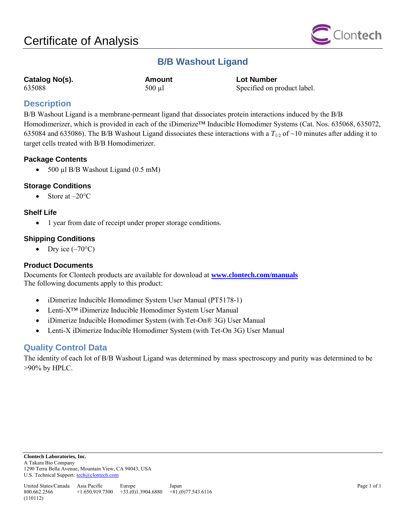

## **B/B Washout Ligand**

| Catalog No(s). |  |
|----------------|--|
| 635088         |  |

**Catalog No(s). Amount Lot Number**  $635088$  500 µl Specified on product label.

## **Description**

B/B Washout Ligand is a membrane-permeant ligand that dissociates protein interactions induced by the B/B Homodimerizer, which is provided in each of the iDimerize™ Inducible Homodimer Systems (Cat. Nos. 635068, 635072, 635084 and 635086). The B/B Washout Ligand dissociates these interactions with a  $T_{1/2}$  of ~10 minutes after adding it to target cells treated with B/B Homodimerizer.

## **Package Contents**

• 500 µl B/B Washout Ligand (0.5 mM)

## **Storage Conditions**

Store at –20°C

## **Shelf Life**

• 1 year from date of receipt under proper storage conditions.

## **Shipping Conditions**

• Dry ice  $(-70^{\circ}C)$ 

### **Product Documents**

Documents for Clontech products are available for download at **[www.clontech.com/manuals](http://www.clontech.com/manuals)** The following documents apply to this product:

- iDimerize Inducible Homodimer System User Manual (PT5178-1)
- Lenti-X™ iDimerize Inducible Homodimer System User Manual
- iDimerize Inducible Homodimer System (with Tet-On® 3G) User Manual
- Lenti-X iDimerize Inducible Homodimer System (with Tet-On 3G) User Manual

## **Quality Control Data**

The identity of each lot of B/B Washout Ligand was determined by mass spectroscopy and purity was determined to be >90% by HPLC.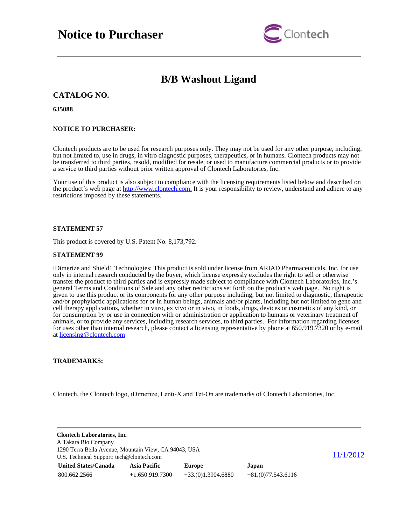

## **B/B Washout Ligand**

### **CATALOG NO.**

**635088**

#### **NOTICE TO PURCHASER:**

Clontech products are to be used for research purposes only. They may not be used for any other purpose, including, but not limited to, use in drugs, in vitro diagnostic purposes, therapeutics, or in humans. Clontech products may not be transferred to third parties, resold, modified for resale, or used to manufacture commercial products or to provide a service to third parties without prior written approval of Clontech Laboratories, Inc.

Your use of this product is also subject to compliance with the licensing requirements listed below and described on the product's web page at [http://www.clontech.com.](http://www.clontech.com/) It is your responsibility to review, understand and adhere to any restrictions imposed by these statements.

### **STATEMENT 57**

This product is covered by U.S. Patent No. 8,173,792.

#### **STATEMENT 99**

iDimerize and Shield1 Technologies: This product is sold under license from ARIAD Pharmaceuticals, Inc. for use only in internal research conducted by the buyer, which license expressly excludes the right to sell or otherwise transfer the product to third parties and is expressly made subject to compliance with Clontech Laboratories, Inc.'s general Terms and Conditions of Sale and any other restrictions set forth on the product's web page. No right is given to use this product or its components for any other purpose including, but not limited to diagnostic, therapeutic and/or prophylactic applications for or in human beings, animals and/or plants, including but not limited to gene and cell therapy applications, whether in vitro, ex vivo or in vivo, in foods, drugs, devices or cosmetics of any kind, or for consumption by or use in connection with or administration or application to humans or veterinary treatment of animals, or to provide any services, including research services, to third parties. For information regarding licenses for uses other than internal research, please contact a licensing representative by phone at 650.919.7320 or by e-mail at [licensing@clontech.com](mailto:licensing@clontech.com)

### **TRADEMARKS:**

Clontech, the Clontech logo, iDimerize, Lenti-X and Tet-On are trademarks of Clontech Laboratories, Inc.

| <b>Clontech Laboratories, Inc.</b><br>A Takara Bio Company<br>1290 Terra Bella Avenue, Mountain View, CA 94043, USA |                   |                     |                     |  |
|---------------------------------------------------------------------------------------------------------------------|-------------------|---------------------|---------------------|--|
| U.S. Technical Support: tech@clontech.com                                                                           | 11/1/2012         |                     |                     |  |
| <b>United States/Canada</b>                                                                                         | Asia Pacific      | Europe              | Japan               |  |
| 800.662.2566                                                                                                        | $+1.650.919.7300$ | $+33(0)1.3904.6880$ | $+81(0)77.543.6116$ |  |